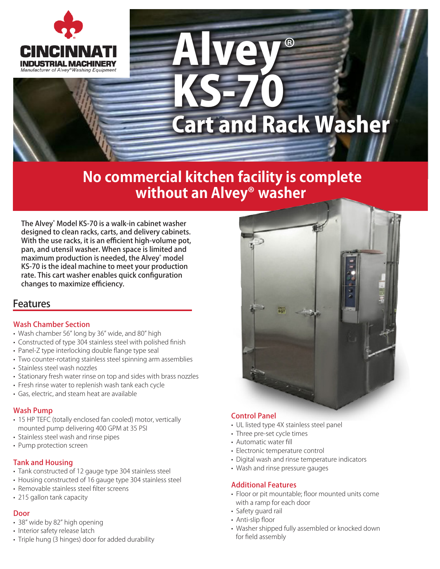

# Alvey KS-70 ® Cart and Rack Washer

### **No commercial kitchen facility is complete without an Alvey® washer**

The Alvey® Model KS-70 is a walk-in cabinet washer designed to clean racks, carts, and delivery cabinets. With the use racks, it is an efficient high-volume pot, pan, and utensil washer. When space is limited and maximum production is needed, the Alvey® model KS-70 is the ideal machine to meet your production rate. This cart washer enables quick configuration changes to maximize efficiency.

#### **Features**

#### Wash Chamber Section

- Wash chamber 56" long by 36" wide, and 80" high
- Constructed of type 304 stainless steel with polished finish
- Panel-Z type interlocking double flange type seal
- Two counter-rotating stainless steel spinning arm assemblies
- Stainless steel wash nozzles
- Stationary fresh water rinse on top and sides with brass nozzles
- Fresh rinse water to replenish wash tank each cycle
- Gas, electric, and steam heat are available

#### Wash Pump

- 15 HP TEFC (totally enclosed fan cooled) motor, vertically mounted pump delivering 400 GPM at 35 PSI
- Stainless steel wash and rinse pipes
- Pump protection screen

#### Tank and Housing

- Tank constructed of 12 gauge type 304 stainless steel
- Housing constructed of 16 gauge type 304 stainless steel
- Removable stainless steel filter screens
- 215 gallon tank capacity

#### Door

- 38" wide by 82" high opening
- Interior safety release latch
- Triple hung (3 hinges) door for added durability



#### Control Panel

- UL listed type 4X stainless steel panel
- Three pre-set cycle times
- Automatic water fill
- Electronic temperature control
- Digital wash and rinse temperature indicators
- Wash and rinse pressure gauges

#### Additional Features

- Floor or pit mountable; floor mounted units come with a ramp for each door
- Safety guard rail
- Anti-slip floor
- Washer shipped fully assembled or knocked down for field assembly